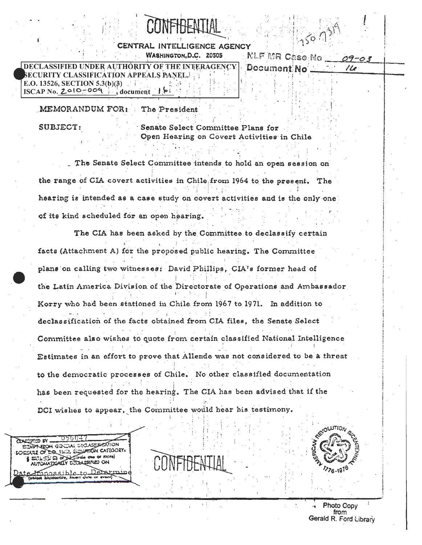## CENTRAL INTELLIGENCE AGENCY WASHINGTON, D.C. 20505

DECLASSIFIED UNDER AUTHORITY OF THE INTERAGENCY URITY CLASSIFICATION APPEALS PANEL. [1] E.O. 13526, SECTION 5.3(b)(3)  $ISCAP$  No.  $2010-009$ document  $\mathbf{F}$ 

NLF MR Case No ...  $09 - 03$ Document No

 $110$ 

MEMORANDUM FOR: The President

**SUBJECT:** 

Senate Select Committee Plans for Open Hearing on Covert Activities in Chile

The Senate Select Committee intends to hold an open session on the range of CIA covert activities in Chile from 1964 to the present. The hearing is intended as a case study on covert activities and is the only one of its kind scheduled for an open hearing.

The CIA has been asked by the Committee to declassify certain facts (Attachment A) for the proposed public hearing. The Committee plans on calling two witnesses: David Phillips, CIA's former head of the Latin America Division of the Directorate of Operations and Ambassador Korry who had been stationed in Chile from 1967 to 1971. In addition to declassification of the facts obtained from CIA files, the Senate Select Committee also wishes to quote from certain classified National Intelligence Estimates in an effort to prove that Allende was not considered to be a threat to the democratic processes of Chile. No other classified documentation has been requested for the hearing. The CIA has been advised that if the DCI wishes to appear, the Committee would hear his testimony.

**PRIDEY SAPT-REON GENERAL DECLASSIBIERTION** DOULE OF THE 1201, ENGLATION CATEGORY, VI. (2) SI OF A Craig one or more) AUTOMATICALLY DIDENSITIED ON nnossible محمد مہ مصرف

Photo Copy from Gerald R. Ford Library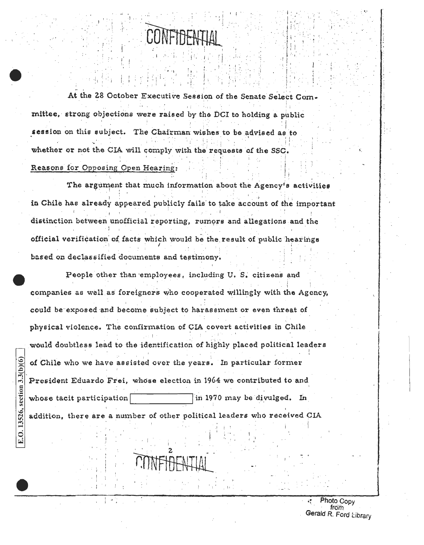

At the 28 October Executive Session of the Senate Select Committee, strong objections were raised by the DCI to holding a public session on this subject. The Chairman wishes to be advised as to whether or not the CIA will comply with the requests of the SSC.

## Reasons for Opposing Open Hearing:

E.O. 13526, section  $3.3(b)(6)$ 

The argument that much information about the Agency's activities in Chile has already appeared publicly fails to take account of the important distinction between unofficial reporting, rumors and allegations and the official verification of facts which would be the result of public hearings based on declassified documents and testimony.

People other than employees, including U.S. citizens and companies as well as foreigners who cooperated willingly with the Agency, could be exposed and become subject to harassment or even threat of physical violence. The confirmation of CIA covert activities in Chile would doubtless lead to the identification of highly placed political leaders of Chile who we have assisted over the years. In particular former President Eduardo Frei, whose election in 1964 we contributed to and in 1970 may be divulged. In whose tacit participation addition, there are a number of other political leaders who received CIA

> Photo Gopy from Gerald R. Ford Library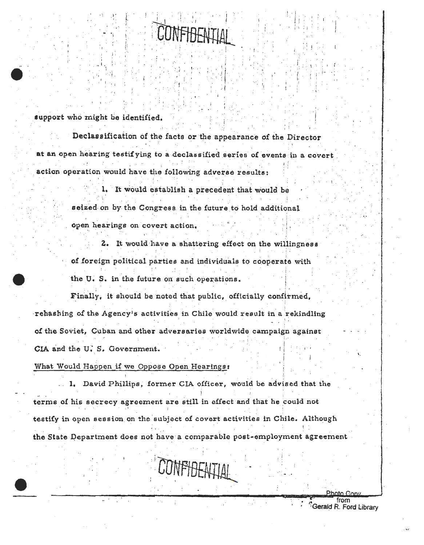

support who might be identified.

Declassification of the facts or the appearance of the Director at an open hearing testifying to a declassified series of events in a covert action operation would have the following adverse results:

> 1. It would establish a precedent that would be seized on by the Congress in the future to hold additional open hearings on covert action.

2. It would have a shattering effect on the willingness of foreign political parties and individuals to cooperate with the U.S. in the future on such operations.

Finally, it should be noted that public, officially confirmed, rehashing of the Agency's activities in Chile would result in a rekindling of the Soviet, Cuban and other adversaries worldwide campaign against CIA and the U.S. Government.

What Would Happen if we Oppose Open Hearings:

.. 1. David Phillips, former CIA officer, would be advised that the terms of his secrecy agreement are still in effect and that he could not testify in open session on the subject of covert activities in Chile. Although the State Department does not have a comparable post-employment agreement

**CONFIDENTIAL** 

Gerald R. Ford Library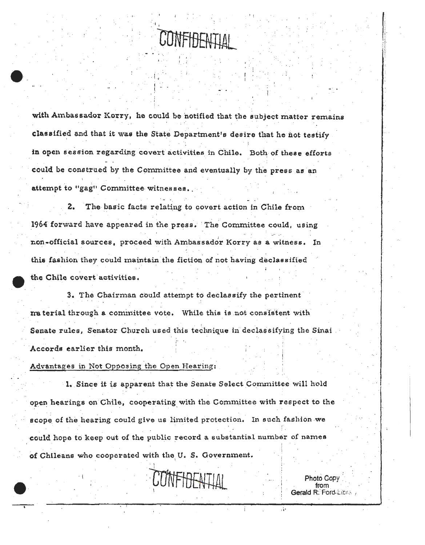**CLUMENTETI** 

with Ambassador Korry, he could be notified that the subject matter remains classified and that it was the State Department's desire that he not testify in open session regarding covert activities in Chile. Both of these efforts could be construed by the Committee and eventually by the press as an attempt to "gag" Committee witnesses.

2. The basic facts relating to covert action in Chile from 1964 forward have appeared in the press. The Committee could, using non-official sources, proceed with Ambassador Korry as a witness. In this fashion they could maintain the fiction of not having declassified the Chile covert activities.

3. The Chairman could attempt to declassify the pertinent material through a committee vote. While this is not consistent with Senate rules, Senator Church used this technique in declassifying the Sinai Accords earlier this month.

Advantages in Not Opposing the Open Hearing:

1. Since it is apparent that the Senate Select Committee will hold open hearings on Chile, cooperating with the Committee with respect to the scope of the hearing could give us limited protection. In such fashion we could hope to keep out of the public record a substantial number of names of Chileans who cooperated with the U.S. Government.

CONFIDENTIAL

Photo Copy from Gerald R. Ford-Librar

A.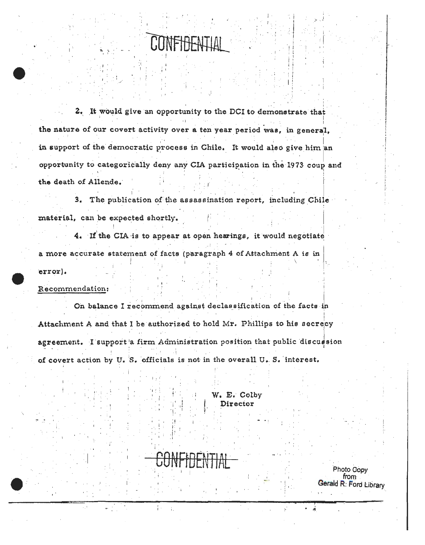2. It would give an opportunity to the DCI to demonstrate that the nature of our covert activity over a ten year period was, in general, in support of the democratic process in Chile. It would also give him an opportunity to categorically deny any CIA participation in the 1973 coup and the death of Allende.

3. The publication of the assassination report, including Chile material, can be expected shortly.

4. If the CIA is to appear at open hearings, it would negotiate a more accurate statement of facts (paragraph 4 of Attachment A is in error).

Recommendation:

On balance I recommend against declassification of the facts in Attachment A and that I be authorized to hold Mr. Phillips to his secrecy agreement. I support'a firm Administration position that public discussion of covert action by U. S. officials is not in the overall U. S. interest.

> W. E. Colby Director

 $\frac{1}{4}$ 

Photo Copy from Gerald R: Ford Library